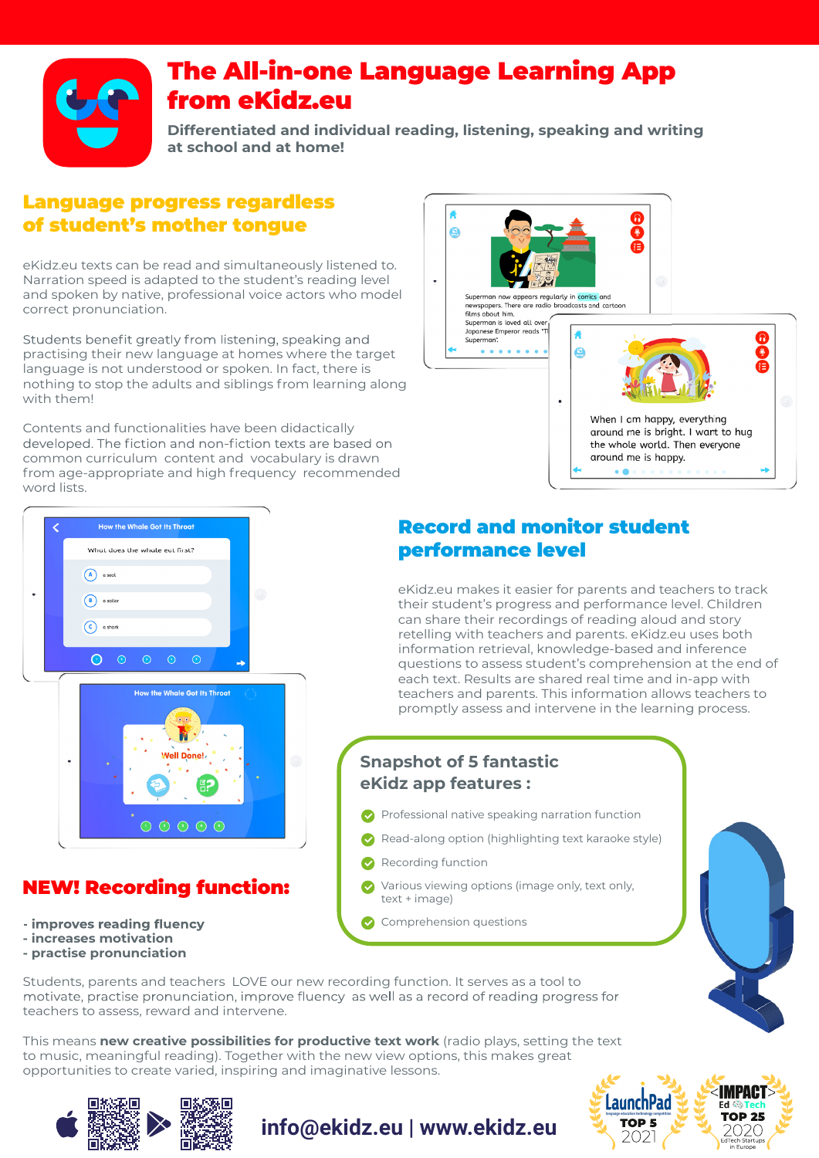

## The All-in-one Language Learning App from eKidz.eu

**Differentiated and individual reading, listening, speaking and writing at school and at home!**

#### Language progress regardless of student's mother tongue

eKidz.eu texts can be read and simultaneously listened to. Narration speed is adapted to the student's reading level and spoken by native, professional voice actors who model correct pronunciation.

Students benefit greatly from listening, speaking and practising their new language at homes where the target language is not understood or spoken. In fact, there is nothing to stop the adults and siblings from learning along with them!

Contents and functionalities have been didactically developed. The fiction and non-fiction texts are based on common curriculum content and vocabulary is drawn from age-appropriate and high frequency recommended word lists.





## NEW! Recording function:

- improves reading fluency
- **increases motivation**
- **practise pronunciation**

### Record and monitor student performance level

eKidz.eu makes it easier for parents and teachers to track their student's progress and performance level. Children can share their recordings of reading aloud and story retelling with teachers and parents. eKidz.eu uses both information retrieval, knowledge-based and inference questions to assess student's comprehension at the end of each text. Results are shared real time and in-app with teachers and parents. This information allows teachers to promptly assess and intervene in the learning process.

## **Snapshot of 5 fantastic eKidz app features :**

- Professional native speaking narration function
- Read-along option (highlighting text karaoke style)
- Recording function

**info@ekidz.eu | www.ekidz.eu**

- Various viewing options (image only, text only, text + image)
- Comprehension questions



**IMPAC** 

**TOP 25** 

2020

**LaunchPad** 

**TOP 5** 

2021

Students, parents and teachers LOVE our new recording function. It serves as a tool to motivate, practise pronunciation, improve fluency as well as a record of reading progress for teachers to assess, reward and intervene.

This means **new creative possibilities for productive text work** (radio plays, setting the text to music, meaningful reading). Together with the new view options, this makes great opportunities to create varied, inspiring and imaginative lessons.